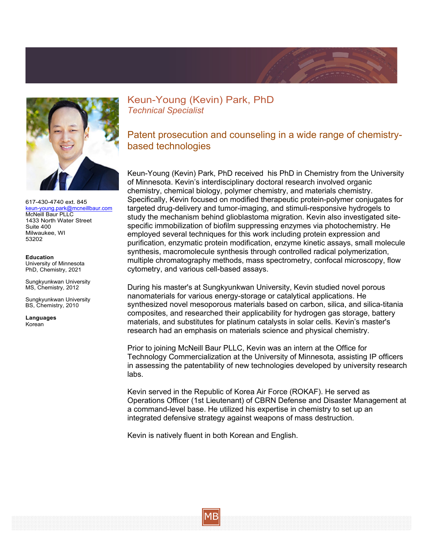



617-430-4740 ext. 845 [keun-young.park@mcneillbaur.com](mailto:keun-young.park@mcneillbaur.com) McNeill Baur PLLC 1433 North Water Street Suite 400 Milwaukee, WI 53202

**Education** University of Minnesota PhD, Chemistry, 2021

Sungkyunkwan University MS, Chemistry, 2012

Sungkyunkwan University BS, Chemistry, 2010

**Languages**  Korean

Keun-Young (Kevin) Park, PhD *Technical Specialist*

Patent prosecution and counseling in a wide range of chemistrybased technologies

Keun-Young (Kevin) Park, PhD received his PhD in Chemistry from the University of Minnesota. Kevin's interdisciplinary doctoral research involved organic chemistry, chemical biology, polymer chemistry, and materials chemistry. Specifically, Kevin focused on modified therapeutic protein-polymer conjugates for targeted drug-delivery and tumor-imaging, and stimuli-responsive hydrogels to study the mechanism behind glioblastoma migration. Kevin also investigated sitespecific immobilization of biofilm suppressing enzymes via photochemistry. He employed several techniques for this work including protein expression and purification, enzymatic protein modification, enzyme kinetic assays, small molecule synthesis, macromolecule synthesis through controlled radical polymerization, multiple chromatography methods, mass spectrometry, confocal microscopy, flow cytometry, and various cell-based assays.

During his master's at Sungkyunkwan University, Kevin studied novel porous nanomaterials for various energy-storage or catalytical applications. He synthesized novel mesoporous materials based on carbon, silica, and silica-titania composites, and researched their applicability for hydrogen gas storage, battery materials, and substitutes for platinum catalysts in solar cells. Kevin's master's research had an emphasis on materials science and physical chemistry.

Prior to joining McNeill Baur PLLC, Kevin was an intern at the Office for Technology Commercialization at the University of Minnesota, assisting IP officers in assessing the patentability of new technologies developed by university research labs.

Kevin served in the Republic of Korea Air Force (ROKAF). He served as Operations Officer (1st Lieutenant) of CBRN Defense and Disaster Management at a command-level base. He utilized his expertise in chemistry to set up an integrated defensive strategy against weapons of mass destruction.

Kevin is natively fluent in both Korean and English.